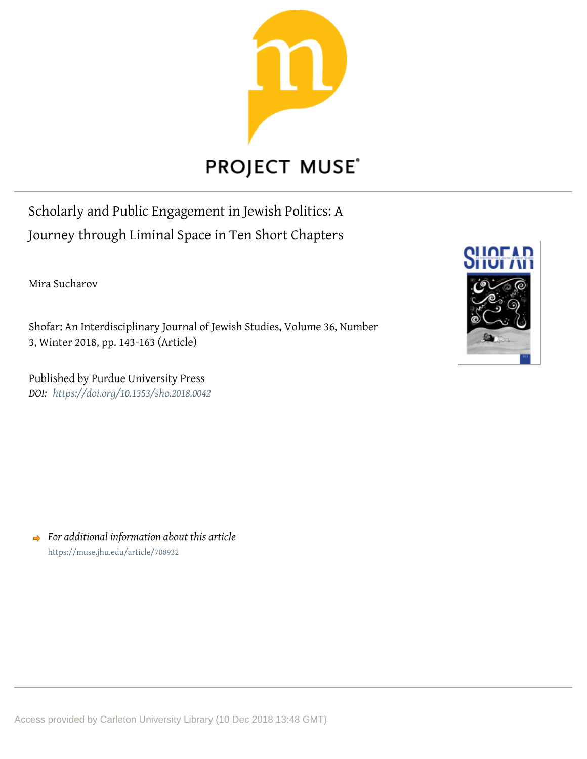

# **PROJECT MUSE®**

Scholarly and Public Engagement in Jewish Politics: A Journey through Liminal Space in Ten Short Chapters

Mira Sucharov

Shofar: An Interdisciplinary Journal of Jewish Studies, Volume 36, Number 3, Winter 2018, pp. 143-163 (Article)

Published by Purdue University Press *DOI: <https://doi.org/10.1353/sho.2018.0042>*



*For additional information about this article* <https://muse.jhu.edu/article/708932>

Access provided by Carleton University Library (10 Dec 2018 13:48 GMT)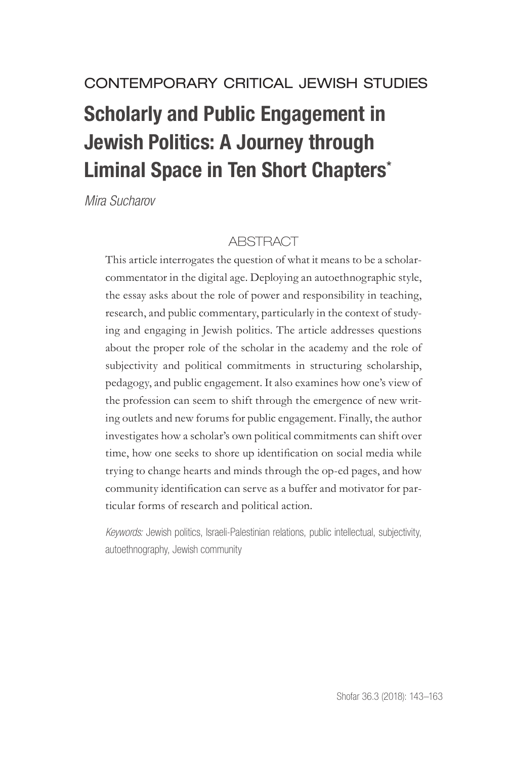# CONTEMPORARY CRITICAL JEWISH STUDIES Scholarly and Public Engagement in Jewish Politics: A Journey through Liminal Space in Ten Short Chapters\*

*Mira Sucharov*

# **ABSTRACT**

This article interrogates the question of what it means to be a scholarcommentator in the digital age. Deploying an autoethnographic style, the essay asks about the role of power and responsibility in teaching, research, and public commentary, particularly in the context of studying and engaging in Jewish politics. The article addresses questions about the proper role of the scholar in the academy and the role of subjectivity and political commitments in structuring scholarship, pedagogy, and public engagement. It also examines how one's view of the profession can seem to shift through the emergence of new writing outlets and new forums for public engagement. Finally, the author investigates how a scholar's own political commitments can shift over time, how one seeks to shore up identification on social media while trying to change hearts and minds through the op-ed pages, and how community identification can serve as a buffer and motivator for particular forms of research and political action.

*Keywords:* Jewish politics, Israeli-Palestinian relations, public intellectual, subjectivity, autoethnography, Jewish community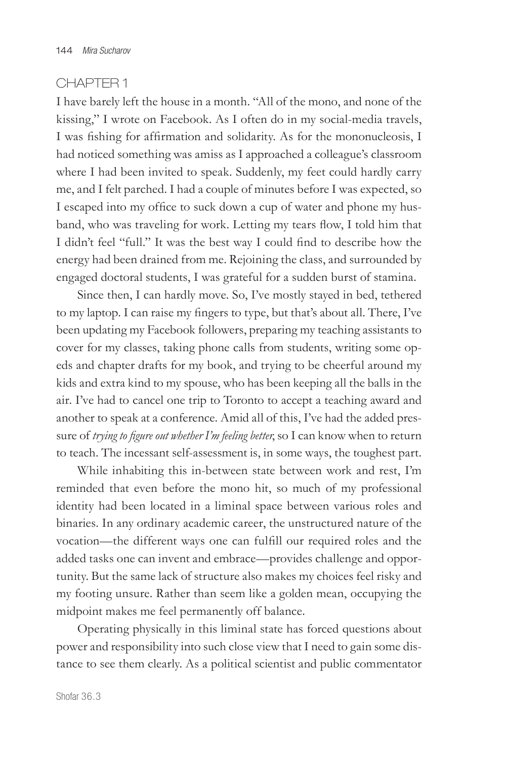### CHAPTER 1

I have barely left the house in a month. "All of the mono, and none of the kissing," I wrote on Facebook. As I often do in my social-media travels, I was fishing for affirmation and solidarity. As for the mononucleosis, I had noticed something was amiss as I approached a colleague's classroom where I had been invited to speak. Suddenly, my feet could hardly carry me, and I felt parched. I had a couple of minutes before I was expected, so I escaped into my office to suck down a cup of water and phone my husband, who was traveling for work. Letting my tears flow, I told him that I didn't feel "full." It was the best way I could find to describe how the energy had been drained from me. Rejoining the class, and surrounded by engaged doctoral students, I was grateful for a sudden burst of stamina.

Since then, I can hardly move. So, I've mostly stayed in bed, tethered to my laptop. I can raise my fingers to type, but that's about all. There, I've been updating my Facebook followers, preparing my teaching assistants to cover for my classes, taking phone calls from students, writing some opeds and chapter drafts for my book, and trying to be cheerful around my kids and extra kind to my spouse, who has been keeping all the balls in the air. I've had to cancel one trip to Toronto to accept a teaching award and another to speak at a conference. Amid all of this, I've had the added pressure of *trying to figure out whether I'm feeling better*, so I can know when to return to teach. The incessant self-assessment is, in some ways, the toughest part.

While inhabiting this in-between state between work and rest, I'm reminded that even before the mono hit, so much of my professional identity had been located in a liminal space between various roles and binaries. In any ordinary academic career, the unstructured nature of the vocation—the different ways one can fulfill our required roles and the added tasks one can invent and embrace—provides challenge and opportunity. But the same lack of structure also makes my choices feel risky and my footing unsure. Rather than seem like a golden mean, occupying the midpoint makes me feel permanently off balance.

Operating physically in this liminal state has forced questions about power and responsibility into such close view that I need to gain some distance to see them clearly. As a political scientist and public commentator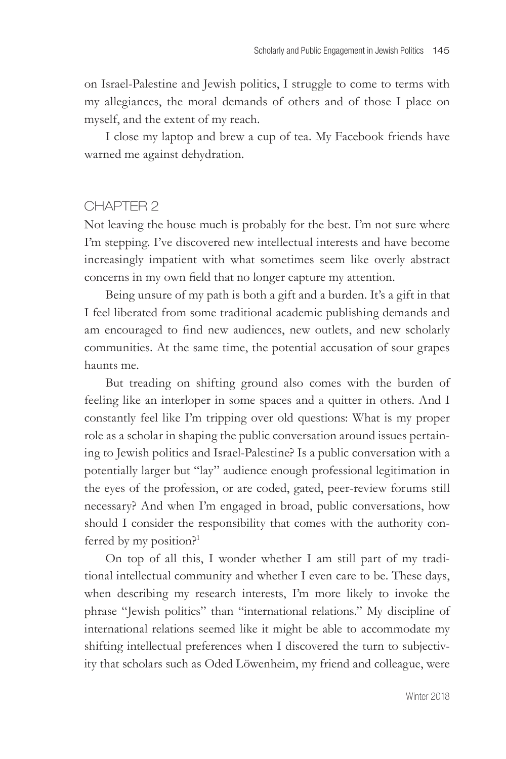on Israel-Palestine and Jewish politics, I struggle to come to terms with my allegiances, the moral demands of others and of those I place on myself, and the extent of my reach.

I close my laptop and brew a cup of tea. My Facebook friends have warned me against dehydration.

### CHAPTER 2

Not leaving the house much is probably for the best. I'm not sure where I'm stepping. I've discovered new intellectual interests and have become increasingly impatient with what sometimes seem like overly abstract concerns in my own field that no longer capture my attention.

Being unsure of my path is both a gift and a burden. It's a gift in that I feel liberated from some traditional academic publishing demands and am encouraged to find new audiences, new outlets, and new scholarly communities. At the same time, the potential accusation of sour grapes haunts me.

But treading on shifting ground also comes with the burden of feeling like an interloper in some spaces and a quitter in others. And I constantly feel like I'm tripping over old questions: What is my proper role as a scholar in shaping the public conversation around issues pertaining to Jewish politics and Israel-Palestine? Is a public conversation with a potentially larger but "lay" audience enough professional legitimation in the eyes of the profession, or are coded, gated, peer-review forums still necessary? And when I'm engaged in broad, public conversations, how should I consider the responsibility that comes with the authority conferred by my position?<sup>1</sup>

On top of all this, I wonder whether I am still part of my traditional intellectual community and whether I even care to be. These days, when describing my research interests, I'm more likely to invoke the phrase "Jewish politics" than "international relations." My discipline of international relations seemed like it might be able to accommodate my shifting intellectual preferences when I discovered the turn to subjectivity that scholars such as Oded Löwenheim, my friend and colleague, were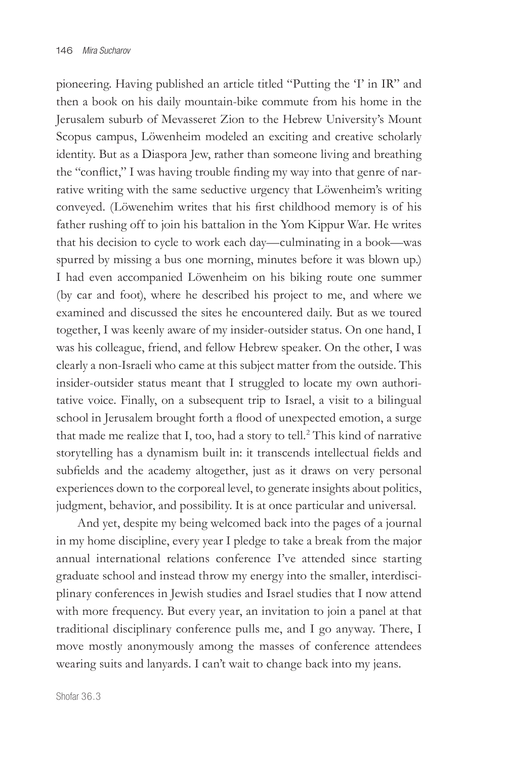pioneering. Having published an article titled "Putting the 'I' in IR" and then a book on his daily mountain-bike commute from his home in the Jerusalem suburb of Mevasseret Zion to the Hebrew University's Mount Scopus campus, Löwenheim modeled an exciting and creative scholarly identity. But as a Diaspora Jew, rather than someone living and breathing the "conflict," I was having trouble finding my way into that genre of narrative writing with the same seductive urgency that Löwenheim's writing conveyed. (Löwenehim writes that his first childhood memory is of his father rushing off to join his battalion in the Yom Kippur War. He writes that his decision to cycle to work each day—culminating in a book—was spurred by missing a bus one morning, minutes before it was blown up.) I had even accompanied Löwenheim on his biking route one summer (by car and foot), where he described his project to me, and where we examined and discussed the sites he encountered daily. But as we toured together, I was keenly aware of my insider-outsider status. On one hand, I was his colleague, friend, and fellow Hebrew speaker. On the other, I was clearly a non-Israeli who came at this subject matter from the outside. This insider-outsider status meant that I struggled to locate my own authoritative voice. Finally, on a subsequent trip to Israel, a visit to a bilingual school in Jerusalem brought forth a flood of unexpected emotion, a surge that made me realize that I, too, had a story to tell.<sup>2</sup> This kind of narrative storytelling has a dynamism built in: it transcends intellectual fields and subfields and the academy altogether, just as it draws on very personal experiences down to the corporeal level, to generate insights about politics, judgment, behavior, and possibility. It is at once particular and universal.

And yet, despite my being welcomed back into the pages of a journal in my home discipline, every year I pledge to take a break from the major annual international relations conference I've attended since starting graduate school and instead throw my energy into the smaller, interdisciplinary conferences in Jewish studies and Israel studies that I now attend with more frequency. But every year, an invitation to join a panel at that traditional disciplinary conference pulls me, and I go anyway. There, I move mostly anonymously among the masses of conference attendees wearing suits and lanyards. I can't wait to change back into my jeans.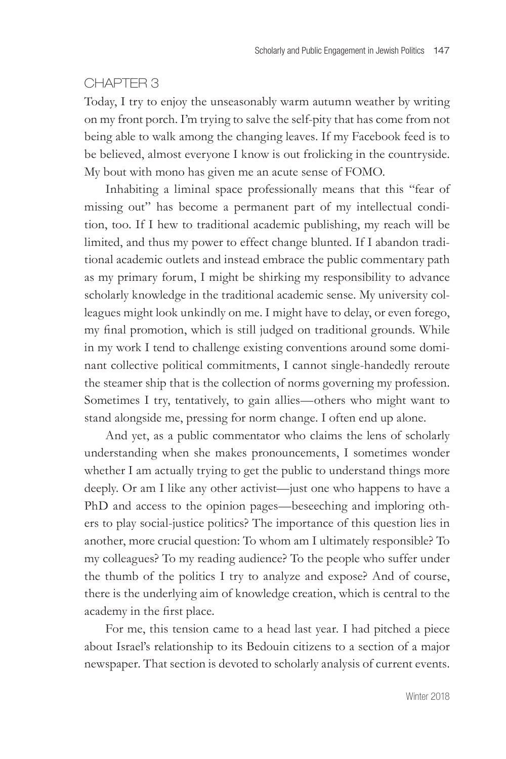# CHAPTER 3

Today, I try to enjoy the unseasonably warm autumn weather by writing on my front porch. I'm trying to salve the self-pity that has come from not being able to walk among the changing leaves. If my Facebook feed is to be believed, almost everyone I know is out frolicking in the countryside. My bout with mono has given me an acute sense of FOMO.

Inhabiting a liminal space professionally means that this "fear of missing out" has become a permanent part of my intellectual condition, too. If I hew to traditional academic publishing, my reach will be limited, and thus my power to effect change blunted. If I abandon traditional academic outlets and instead embrace the public commentary path as my primary forum, I might be shirking my responsibility to advance scholarly knowledge in the traditional academic sense. My university colleagues might look unkindly on me. I might have to delay, or even forego, my final promotion, which is still judged on traditional grounds. While in my work I tend to challenge existing conventions around some dominant collective political commitments, I cannot single-handedly reroute the steamer ship that is the collection of norms governing my profession. Sometimes I try, tentatively, to gain allies—others who might want to stand alongside me, pressing for norm change. I often end up alone.

And yet, as a public commentator who claims the lens of scholarly understanding when she makes pronouncements, I sometimes wonder whether I am actually trying to get the public to understand things more deeply. Or am I like any other activist—just one who happens to have a PhD and access to the opinion pages—beseeching and imploring others to play social-justice politics? The importance of this question lies in another, more crucial question: To whom am I ultimately responsible? To my colleagues? To my reading audience? To the people who suffer under the thumb of the politics I try to analyze and expose? And of course, there is the underlying aim of knowledge creation, which is central to the academy in the first place.

For me, this tension came to a head last year. I had pitched a piece about Israel's relationship to its Bedouin citizens to a section of a major newspaper. That section is devoted to scholarly analysis of current events.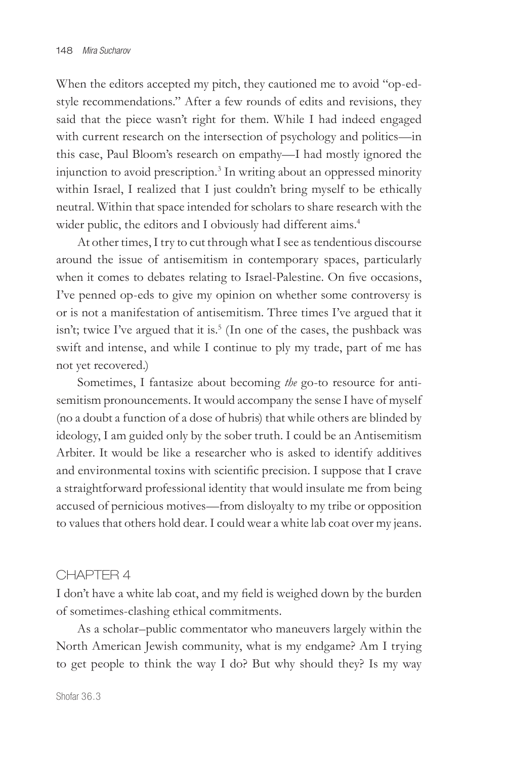When the editors accepted my pitch, they cautioned me to avoid "op-edstyle recommendations." After a few rounds of edits and revisions, they said that the piece wasn't right for them. While I had indeed engaged with current research on the intersection of psychology and politics—in this case, Paul Bloom's research on empathy—I had mostly ignored the injunction to avoid prescription.<sup>3</sup> In writing about an oppressed minority within Israel, I realized that I just couldn't bring myself to be ethically neutral. Within that space intended for scholars to share research with the wider public, the editors and I obviously had different aims.<sup>4</sup>

At other times, I try to cut through what I see as tendentious discourse around the issue of antisemitism in contemporary spaces, particularly when it comes to debates relating to Israel-Palestine. On five occasions, I've penned op-eds to give my opinion on whether some controversy is or is not a manifestation of antisemitism. Three times I've argued that it isn't; twice I've argued that it is.<sup>5</sup> (In one of the cases, the pushback was swift and intense, and while I continue to ply my trade, part of me has not yet recovered.)

Sometimes, I fantasize about becoming *the* go-to resource for antisemitism pronouncements. It would accompany the sense I have of myself (no a doubt a function of a dose of hubris) that while others are blinded by ideology, I am guided only by the sober truth. I could be an Antisemitism Arbiter. It would be like a researcher who is asked to identify additives and environmental toxins with scientific precision. I suppose that I crave a straightforward professional identity that would insulate me from being accused of pernicious motives—from disloyalty to my tribe or opposition to values that others hold dear. I could wear a white lab coat over my jeans.

#### CHAPTER 4

I don't have a white lab coat, and my field is weighed down by the burden of sometimes-clashing ethical commitments.

As a scholar–public commentator who maneuvers largely within the North American Jewish community, what is my endgame? Am I trying to get people to think the way I do? But why should they? Is my way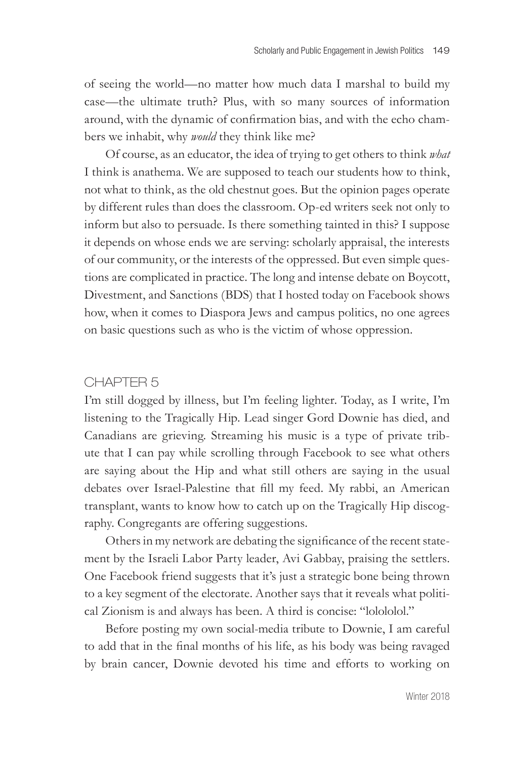of seeing the world—no matter how much data I marshal to build my case—the ultimate truth? Plus, with so many sources of information around, with the dynamic of confirmation bias, and with the echo chambers we inhabit, why *would* they think like me?

Of course, as an educator, the idea of trying to get others to think *what* I think is anathema. We are supposed to teach our students how to think, not what to think, as the old chestnut goes. But the opinion pages operate by different rules than does the classroom. Op-ed writers seek not only to inform but also to persuade. Is there something tainted in this? I suppose it depends on whose ends we are serving: scholarly appraisal, the interests of our community, or the interests of the oppressed. But even simple questions are complicated in practice. The long and intense debate on Boycott, Divestment, and Sanctions (BDS) that I hosted today on Facebook shows how, when it comes to Diaspora Jews and campus politics, no one agrees on basic questions such as who is the victim of whose oppression.

#### CHAPTER 5

I'm still dogged by illness, but I'm feeling lighter. Today, as I write, I'm listening to the Tragically Hip. Lead singer Gord Downie has died, and Canadians are grieving. Streaming his music is a type of private tribute that I can pay while scrolling through Facebook to see what others are saying about the Hip and what still others are saying in the usual debates over Israel-Palestine that fill my feed. My rabbi, an American transplant, wants to know how to catch up on the Tragically Hip discography. Congregants are offering suggestions.

Others in my network are debating the significance of the recent statement by the Israeli Labor Party leader, Avi Gabbay, praising the settlers. One Facebook friend suggests that it's just a strategic bone being thrown to a key segment of the electorate. Another says that it reveals what political Zionism is and always has been. A third is concise: "lolololol."

Before posting my own social-media tribute to Downie, I am careful to add that in the final months of his life, as his body was being ravaged by brain cancer, Downie devoted his time and efforts to working on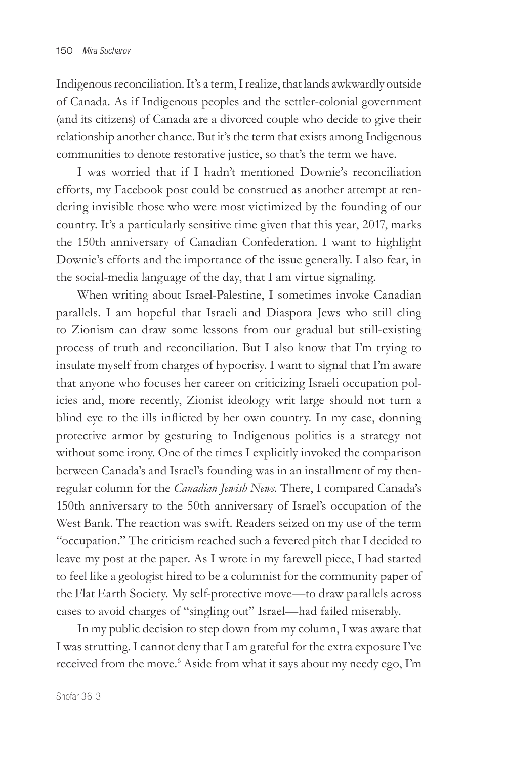Indigenous reconciliation. It's a term, I realize, that lands awkwardly outside of Canada. As if Indigenous peoples and the settler-colonial government (and its citizens) of Canada are a divorced couple who decide to give their relationship another chance. But it's the term that exists among Indigenous communities to denote restorative justice, so that's the term we have.

I was worried that if I hadn't mentioned Downie's reconciliation efforts, my Facebook post could be construed as another attempt at rendering invisible those who were most victimized by the founding of our country. It's a particularly sensitive time given that this year, 2017, marks the 150th anniversary of Canadian Confederation. I want to highlight Downie's efforts and the importance of the issue generally. I also fear, in the social-media language of the day, that I am virtue signaling.

When writing about Israel-Palestine, I sometimes invoke Canadian parallels. I am hopeful that Israeli and Diaspora Jews who still cling to Zionism can draw some lessons from our gradual but still-existing process of truth and reconciliation. But I also know that I'm trying to insulate myself from charges of hypocrisy. I want to signal that I'm aware that anyone who focuses her career on criticizing Israeli occupation policies and, more recently, Zionist ideology writ large should not turn a blind eye to the ills inflicted by her own country. In my case, donning protective armor by gesturing to Indigenous politics is a strategy not without some irony. One of the times I explicitly invoked the comparison between Canada's and Israel's founding was in an installment of my thenregular column for the *Canadian Jewish News*. There, I compared Canada's 150th anniversary to the 50th anniversary of Israel's occupation of the West Bank. The reaction was swift. Readers seized on my use of the term "occupation." The criticism reached such a fevered pitch that I decided to leave my post at the paper. As I wrote in my farewell piece, I had started to feel like a geologist hired to be a columnist for the community paper of the Flat Earth Society. My self-protective move—to draw parallels across cases to avoid charges of "singling out" Israel—had failed miserably.

In my public decision to step down from my column, I was aware that I was strutting. I cannot deny that I am grateful for the extra exposure I've received from the move.<sup>6</sup> Aside from what it says about my needy ego, I'm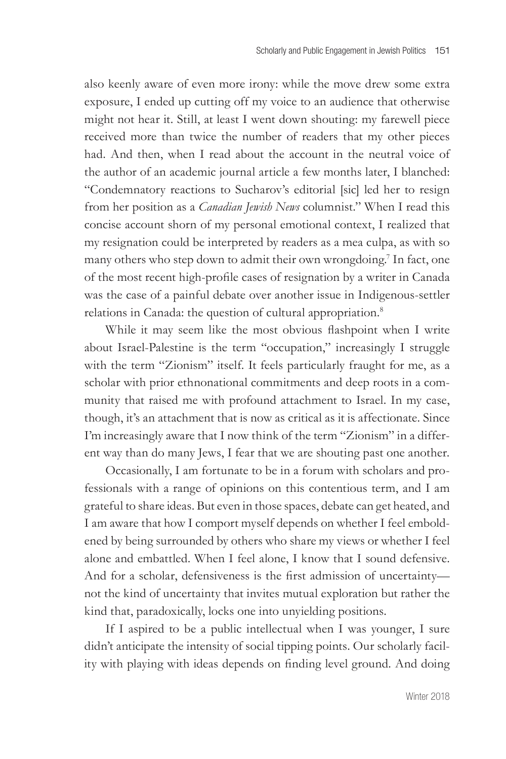also keenly aware of even more irony: while the move drew some extra exposure, I ended up cutting off my voice to an audience that otherwise might not hear it. Still, at least I went down shouting: my farewell piece received more than twice the number of readers that my other pieces had. And then, when I read about the account in the neutral voice of the author of an academic journal article a few months later, I blanched: "Condemnatory reactions to Sucharov's editorial [sic] led her to resign from her position as a *Canadian Jewish News* columnist." When I read this concise account shorn of my personal emotional context, I realized that my resignation could be interpreted by readers as a mea culpa, as with so many others who step down to admit their own wrongdoing.7 In fact, one of the most recent high-profile cases of resignation by a writer in Canada was the case of a painful debate over another issue in Indigenous-settler relations in Canada: the question of cultural appropriation.<sup>8</sup>

While it may seem like the most obvious flashpoint when I write about Israel-Palestine is the term "occupation," increasingly I struggle with the term "Zionism" itself. It feels particularly fraught for me, as a scholar with prior ethnonational commitments and deep roots in a community that raised me with profound attachment to Israel. In my case, though, it's an attachment that is now as critical as it is affectionate. Since I'm increasingly aware that I now think of the term "Zionism" in a different way than do many Jews, I fear that we are shouting past one another.

Occasionally, I am fortunate to be in a forum with scholars and professionals with a range of opinions on this contentious term, and I am grateful to share ideas. But even in those spaces, debate can get heated, and I am aware that how I comport myself depends on whether I feel emboldened by being surrounded by others who share my views or whether I feel alone and embattled. When I feel alone, I know that I sound defensive. And for a scholar, defensiveness is the first admission of uncertainty not the kind of uncertainty that invites mutual exploration but rather the kind that, paradoxically, locks one into unyielding positions.

If I aspired to be a public intellectual when I was younger, I sure didn't anticipate the intensity of social tipping points. Our scholarly facility with playing with ideas depends on finding level ground. And doing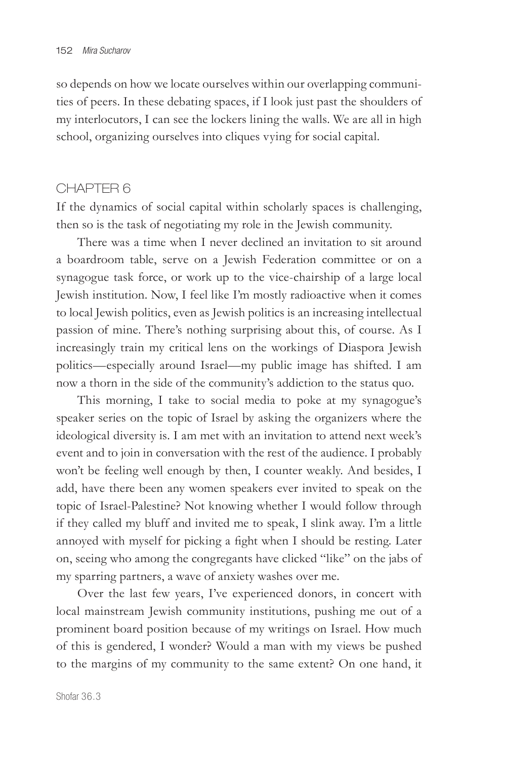so depends on how we locate ourselves within our overlapping communities of peers. In these debating spaces, if I look just past the shoulders of my interlocutors, I can see the lockers lining the walls. We are all in high school, organizing ourselves into cliques vying for social capital.

#### CHAPTER 6

If the dynamics of social capital within scholarly spaces is challenging, then so is the task of negotiating my role in the Jewish community.

There was a time when I never declined an invitation to sit around a boardroom table, serve on a Jewish Federation committee or on a synagogue task force, or work up to the vice-chairship of a large local Jewish institution. Now, I feel like I'm mostly radioactive when it comes to local Jewish politics, even as Jewish politics is an increasing intellectual passion of mine. There's nothing surprising about this, of course. As I increasingly train my critical lens on the workings of Diaspora Jewish politics—especially around Israel—my public image has shifted. I am now a thorn in the side of the community's addiction to the status quo.

This morning, I take to social media to poke at my synagogue's speaker series on the topic of Israel by asking the organizers where the ideological diversity is. I am met with an invitation to attend next week's event and to join in conversation with the rest of the audience. I probably won't be feeling well enough by then, I counter weakly. And besides, I add, have there been any women speakers ever invited to speak on the topic of Israel-Palestine? Not knowing whether I would follow through if they called my bluff and invited me to speak, I slink away. I'm a little annoyed with myself for picking a fight when I should be resting. Later on, seeing who among the congregants have clicked "like" on the jabs of my sparring partners, a wave of anxiety washes over me.

Over the last few years, I've experienced donors, in concert with local mainstream Jewish community institutions, pushing me out of a prominent board position because of my writings on Israel. How much of this is gendered, I wonder? Would a man with my views be pushed to the margins of my community to the same extent? On one hand, it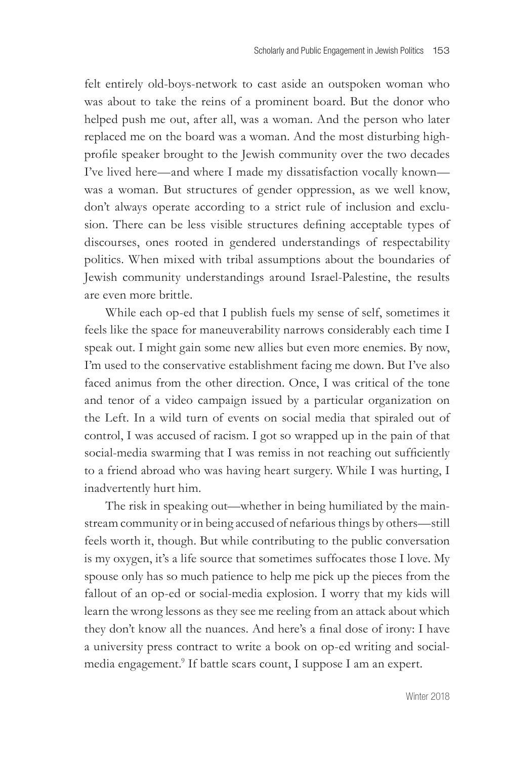felt entirely old-boys-network to cast aside an outspoken woman who was about to take the reins of a prominent board. But the donor who helped push me out, after all, was a woman. And the person who later replaced me on the board was a woman. And the most disturbing highprofile speaker brought to the Jewish community over the two decades I've lived here—and where I made my dissatisfaction vocally known was a woman. But structures of gender oppression, as we well know, don't always operate according to a strict rule of inclusion and exclusion. There can be less visible structures defining acceptable types of discourses, ones rooted in gendered understandings of respectability politics. When mixed with tribal assumptions about the boundaries of Jewish community understandings around Israel-Palestine, the results are even more brittle.

While each op-ed that I publish fuels my sense of self, sometimes it feels like the space for maneuverability narrows considerably each time I speak out. I might gain some new allies but even more enemies. By now, I'm used to the conservative establishment facing me down. But I've also faced animus from the other direction. Once, I was critical of the tone and tenor of a video campaign issued by a particular organization on the Left. In a wild turn of events on social media that spiraled out of control, I was accused of racism. I got so wrapped up in the pain of that social-media swarming that I was remiss in not reaching out sufficiently to a friend abroad who was having heart surgery. While I was hurting, I inadvertently hurt him.

The risk in speaking out—whether in being humiliated by the mainstream community or in being accused of nefarious things by others—still feels worth it, though. But while contributing to the public conversation is my oxygen, it's a life source that sometimes suffocates those I love. My spouse only has so much patience to help me pick up the pieces from the fallout of an op-ed or social-media explosion. I worry that my kids will learn the wrong lessons as they see me reeling from an attack about which they don't know all the nuances. And here's a final dose of irony: I have a university press contract to write a book on op-ed writing and socialmedia engagement.<sup>9</sup> If battle scars count, I suppose I am an expert.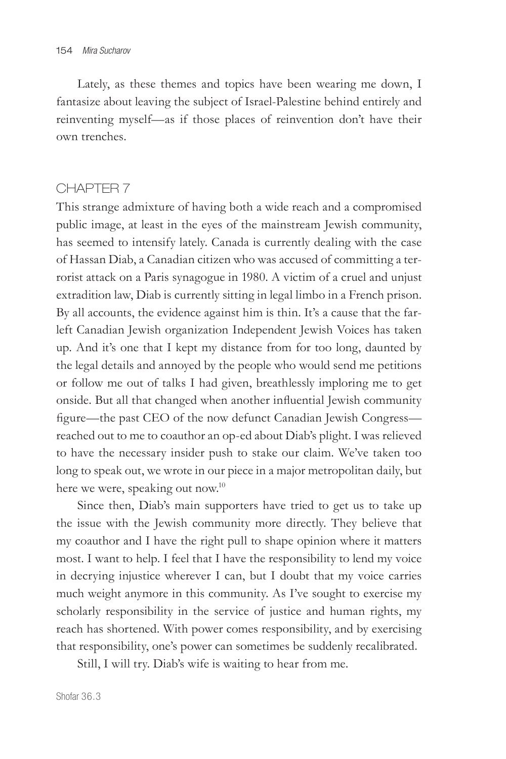Lately, as these themes and topics have been wearing me down, I fantasize about leaving the subject of Israel-Palestine behind entirely and reinventing myself—as if those places of reinvention don't have their own trenches.

### CHAPTER 7

This strange admixture of having both a wide reach and a compromised public image, at least in the eyes of the mainstream Jewish community, has seemed to intensify lately. Canada is currently dealing with the case of Hassan Diab, a Canadian citizen who was accused of committing a terrorist attack on a Paris synagogue in 1980. A victim of a cruel and unjust extradition law, Diab is currently sitting in legal limbo in a French prison. By all accounts, the evidence against him is thin. It's a cause that the farleft Canadian Jewish organization Independent Jewish Voices has taken up. And it's one that I kept my distance from for too long, daunted by the legal details and annoyed by the people who would send me petitions or follow me out of talks I had given, breathlessly imploring me to get onside. But all that changed when another influential Jewish community figure—the past CEO of the now defunct Canadian Jewish Congress reached out to me to coauthor an op-ed about Diab's plight. I was relieved to have the necessary insider push to stake our claim. We've taken too long to speak out, we wrote in our piece in a major metropolitan daily, but here we were, speaking out now.<sup>10</sup>

Since then, Diab's main supporters have tried to get us to take up the issue with the Jewish community more directly. They believe that my coauthor and I have the right pull to shape opinion where it matters most. I want to help. I feel that I have the responsibility to lend my voice in decrying injustice wherever I can, but I doubt that my voice carries much weight anymore in this community. As I've sought to exercise my scholarly responsibility in the service of justice and human rights, my reach has shortened. With power comes responsibility, and by exercising that responsibility, one's power can sometimes be suddenly recalibrated.

Still, I will try. Diab's wife is waiting to hear from me.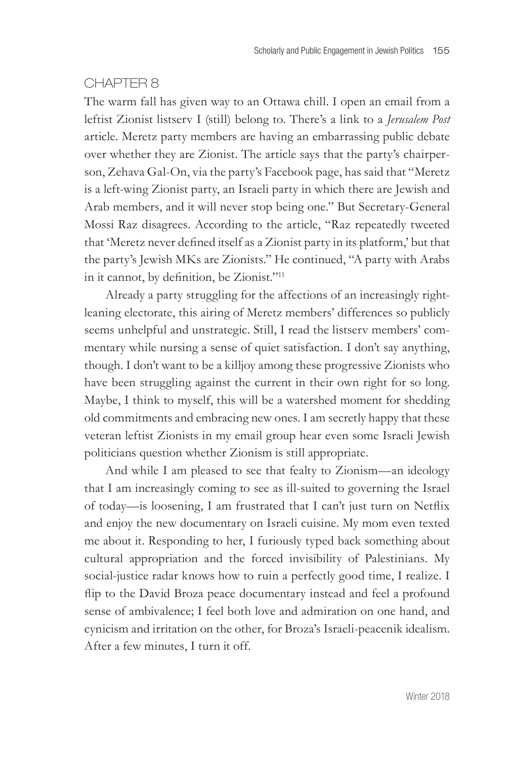# CHAPTER 8

The warm fall has given way to an Ottawa chill. I open an email from a leftist Zionist listserv I (still) belong to. There's a link to a *Jerusalem Post* article. Meretz party members are having an embarrassing public debate over whether they are Zionist. The article says that the party's chairperson, Zehava Gal-On, via the party's Facebook page, has said that "Meretz is a left-wing Zionist party, an Israeli party in which there are Jewish and Arab members, and it will never stop being one." But Secretary-General Mossi Raz disagrees. According to the article, "Raz repeatedly tweeted that 'Meretz never defined itself as a Zionist party in its platform,' but that the party's Jewish MKs are Zionists." He continued, "A party with Arabs in it cannot, by definition, be Zionist."<sup>11</sup>

Already a party struggling for the affections of an increasingly rightleaning electorate, this airing of Meretz members' differences so publicly seems unhelpful and unstrategic. Still, I read the listserv members' commentary while nursing a sense of quiet satisfaction. I don't say anything, though. I don't want to be a killjoy among these progressive Zionists who have been struggling against the current in their own right for so long. Maybe, I think to myself, this will be a watershed moment for shedding old commitments and embracing new ones. I am secretly happy that these veteran leftist Zionists in my email group hear even some Israeli Jewish politicians question whether Zionism is still appropriate.

And while I am pleased to see that fealty to Zionism—an ideology that I am increasingly coming to see as ill-suited to governing the Israel of today—is loosening, I am frustrated that I can't just turn on Netflix and enjoy the new documentary on Israeli cuisine. My mom even texted me about it. Responding to her, I furiously typed back something about cultural appropriation and the forced invisibility of Palestinians. My social-justice radar knows how to ruin a perfectly good time, I realize. I flip to the David Broza peace documentary instead and feel a profound sense of ambivalence; I feel both love and admiration on one hand, and cynicism and irritation on the other, for Broza's Israeli-peacenik idealism. After a few minutes, I turn it off.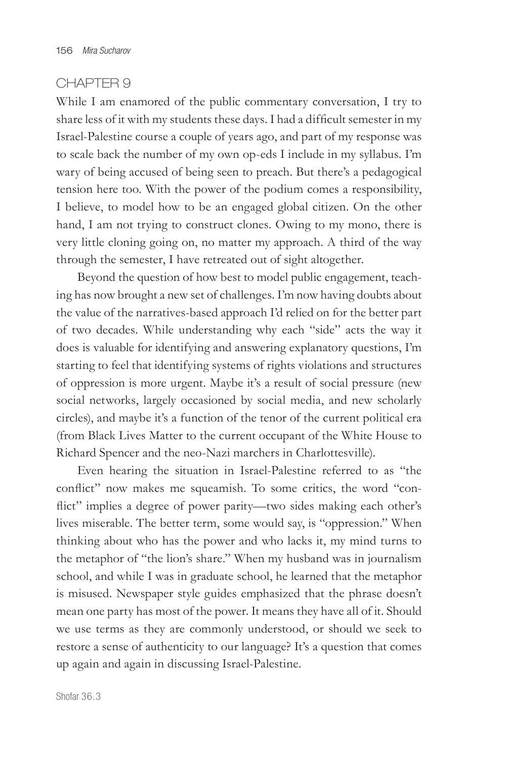#### CHAPTER 9

While I am enamored of the public commentary conversation, I try to share less of it with my students these days. I had a difficult semester in my Israel-Palestine course a couple of years ago, and part of my response was to scale back the number of my own op-eds I include in my syllabus. I'm wary of being accused of being seen to preach. But there's a pedagogical tension here too. With the power of the podium comes a responsibility, I believe, to model how to be an engaged global citizen. On the other hand, I am not trying to construct clones. Owing to my mono, there is very little cloning going on, no matter my approach. A third of the way through the semester, I have retreated out of sight altogether.

Beyond the question of how best to model public engagement, teaching has now brought a new set of challenges. I'm now having doubts about the value of the narratives-based approach I'd relied on for the better part of two decades. While understanding why each "side" acts the way it does is valuable for identifying and answering explanatory questions, I'm starting to feel that identifying systems of rights violations and structures of oppression is more urgent. Maybe it's a result of social pressure (new social networks, largely occasioned by social media, and new scholarly circles), and maybe it's a function of the tenor of the current political era (from Black Lives Matter to the current occupant of the White House to Richard Spencer and the neo-Nazi marchers in Charlottesville).

Even hearing the situation in Israel-Palestine referred to as "the conflict" now makes me squeamish. To some critics, the word "conflict" implies a degree of power parity—two sides making each other's lives miserable. The better term, some would say, is "oppression." When thinking about who has the power and who lacks it, my mind turns to the metaphor of "the lion's share." When my husband was in journalism school, and while I was in graduate school, he learned that the metaphor is misused. Newspaper style guides emphasized that the phrase doesn't mean one party has most of the power. It means they have all of it. Should we use terms as they are commonly understood, or should we seek to restore a sense of authenticity to our language? It's a question that comes up again and again in discussing Israel-Palestine.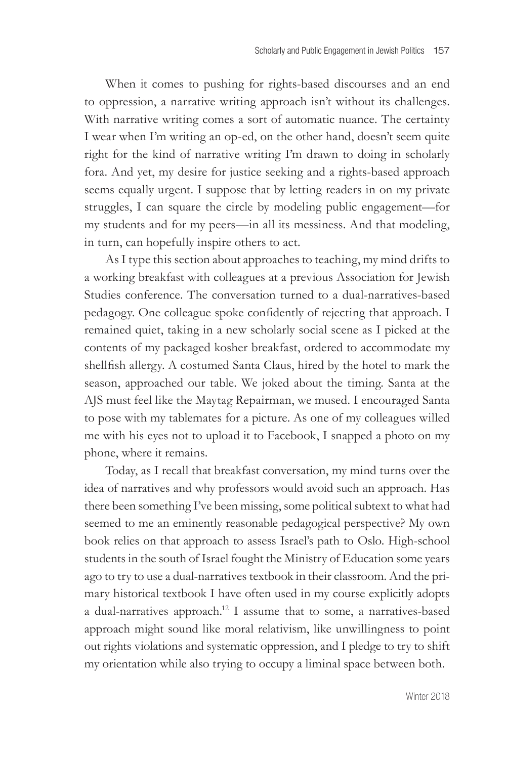When it comes to pushing for rights-based discourses and an end to oppression, a narrative writing approach isn't without its challenges. With narrative writing comes a sort of automatic nuance. The certainty I wear when I'm writing an op-ed, on the other hand, doesn't seem quite right for the kind of narrative writing I'm drawn to doing in scholarly fora. And yet, my desire for justice seeking and a rights-based approach seems equally urgent. I suppose that by letting readers in on my private struggles, I can square the circle by modeling public engagement—for my students and for my peers—in all its messiness. And that modeling, in turn, can hopefully inspire others to act.

As I type this section about approaches to teaching, my mind drifts to a working breakfast with colleagues at a previous Association for Jewish Studies conference. The conversation turned to a dual-narratives-based pedagogy. One colleague spoke confidently of rejecting that approach. I remained quiet, taking in a new scholarly social scene as I picked at the contents of my packaged kosher breakfast, ordered to accommodate my shellfish allergy. A costumed Santa Claus, hired by the hotel to mark the season, approached our table. We joked about the timing. Santa at the AJS must feel like the Maytag Repairman, we mused. I encouraged Santa to pose with my tablemates for a picture. As one of my colleagues willed me with his eyes not to upload it to Facebook, I snapped a photo on my phone, where it remains.

Today, as I recall that breakfast conversation, my mind turns over the idea of narratives and why professors would avoid such an approach. Has there been something I've been missing, some political subtext to what had seemed to me an eminently reasonable pedagogical perspective? My own book relies on that approach to assess Israel's path to Oslo. High-school students in the south of Israel fought the Ministry of Education some years ago to try to use a dual-narratives textbook in their classroom. And the primary historical textbook I have often used in my course explicitly adopts a dual-narratives approach.12 I assume that to some, a narratives-based approach might sound like moral relativism, like unwillingness to point out rights violations and systematic oppression, and I pledge to try to shift my orientation while also trying to occupy a liminal space between both.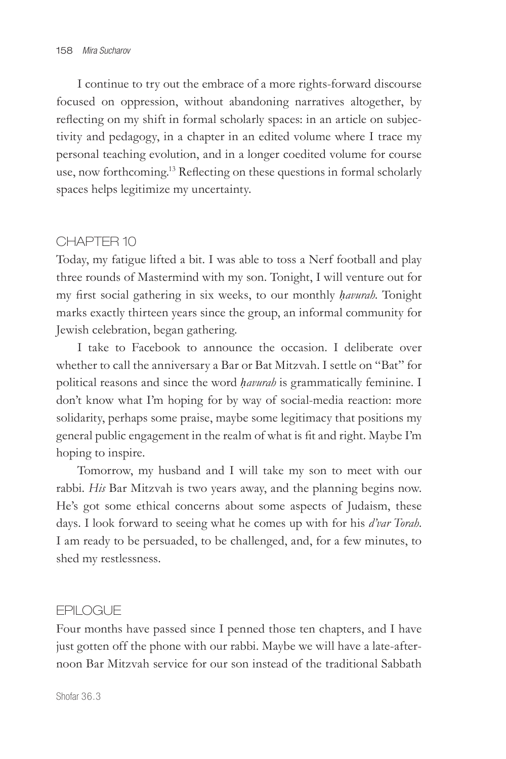I continue to try out the embrace of a more rights-forward discourse focused on oppression, without abandoning narratives altogether, by reflecting on my shift in formal scholarly spaces: in an article on subjectivity and pedagogy, in a chapter in an edited volume where I trace my personal teaching evolution, and in a longer coedited volume for course use, now forthcoming.13 Reflecting on these questions in formal scholarly spaces helps legitimize my uncertainty.

## CHAPTER 10

Today, my fatigue lifted a bit. I was able to toss a Nerf football and play three rounds of Mastermind with my son. Tonight, I will venture out for my first social gathering in six weeks, to our monthly *ḥavurah*. Tonight marks exactly thirteen years since the group, an informal community for Jewish celebration, began gathering.

I take to Facebook to announce the occasion. I deliberate over whether to call the anniversary a Bar or Bat Mitzvah. I settle on "Bat" for political reasons and since the word *ḥavurah* is grammatically feminine. I don't know what I'm hoping for by way of social-media reaction: more solidarity, perhaps some praise, maybe some legitimacy that positions my general public engagement in the realm of what is fit and right. Maybe I'm hoping to inspire.

Tomorrow, my husband and I will take my son to meet with our rabbi. *His* Bar Mitzvah is two years away, and the planning begins now. He's got some ethical concerns about some aspects of Judaism, these days. I look forward to seeing what he comes up with for his *d'var Torah*. I am ready to be persuaded, to be challenged, and, for a few minutes, to shed my restlessness.

#### EPILOGUE

Four months have passed since I penned those ten chapters, and I have just gotten off the phone with our rabbi. Maybe we will have a late-afternoon Bar Mitzvah service for our son instead of the traditional Sabbath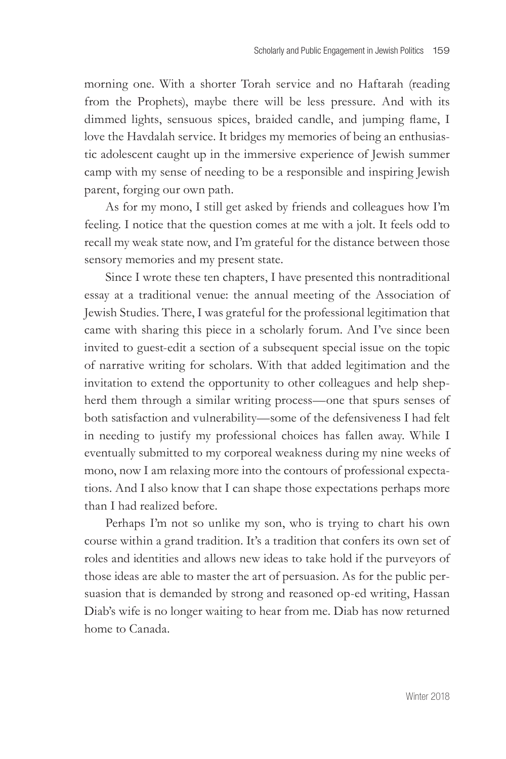morning one. With a shorter Torah service and no Haftarah (reading from the Prophets), maybe there will be less pressure. And with its dimmed lights, sensuous spices, braided candle, and jumping flame, I love the Havdalah service. It bridges my memories of being an enthusiastic adolescent caught up in the immersive experience of Jewish summer camp with my sense of needing to be a responsible and inspiring Jewish parent, forging our own path.

As for my mono, I still get asked by friends and colleagues how I'm feeling. I notice that the question comes at me with a jolt. It feels odd to recall my weak state now, and I'm grateful for the distance between those sensory memories and my present state.

Since I wrote these ten chapters, I have presented this nontraditional essay at a traditional venue: the annual meeting of the Association of Jewish Studies. There, I was grateful for the professional legitimation that came with sharing this piece in a scholarly forum. And I've since been invited to guest-edit a section of a subsequent special issue on the topic of narrative writing for scholars. With that added legitimation and the invitation to extend the opportunity to other colleagues and help shepherd them through a similar writing process—one that spurs senses of both satisfaction and vulnerability—some of the defensiveness I had felt in needing to justify my professional choices has fallen away. While I eventually submitted to my corporeal weakness during my nine weeks of mono, now I am relaxing more into the contours of professional expectations. And I also know that I can shape those expectations perhaps more than I had realized before.

Perhaps I'm not so unlike my son, who is trying to chart his own course within a grand tradition. It's a tradition that confers its own set of roles and identities and allows new ideas to take hold if the purveyors of those ideas are able to master the art of persuasion. As for the public persuasion that is demanded by strong and reasoned op-ed writing, Hassan Diab's wife is no longer waiting to hear from me. Diab has now returned home to Canada.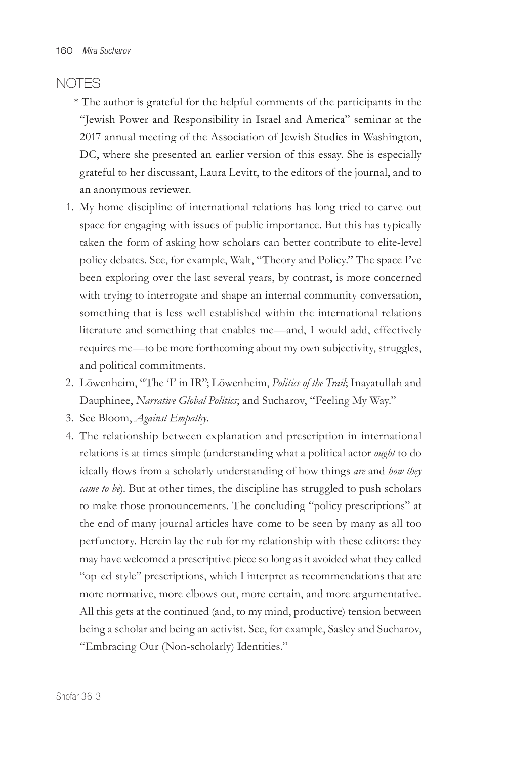#### **NOTES**

- \* The author is grateful for the helpful comments of the participants in the "Jewish Power and Responsibility in Israel and America" seminar at the 2017 annual meeting of the Association of Jewish Studies in Washington, DC, where she presented an earlier version of this essay. She is especially grateful to her discussant, Laura Levitt, to the editors of the journal, and to an anonymous reviewer.
- 1. My home discipline of international relations has long tried to carve out space for engaging with issues of public importance. But this has typically taken the form of asking how scholars can better contribute to elite-level policy debates. See, for example, Walt, "Theory and Policy." The space I've been exploring over the last several years, by contrast, is more concerned with trying to interrogate and shape an internal community conversation, something that is less well established within the international relations literature and something that enables me—and, I would add, effectively requires me—to be more forthcoming about my own subjectivity, struggles, and political commitments.
- 2. Löwenheim, "The 'I' in IR"; Löwenheim, *Politics of the Trail*; Inayatullah and Dauphinee, *Narrative Global Politics*; and Sucharov, "Feeling My Way."
- 3. See Bloom, *Against Empathy*.
- 4. The relationship between explanation and prescription in international relations is at times simple (understanding what a political actor *ought* to do ideally flows from a scholarly understanding of how things *are* and *how they came to be*). But at other times, the discipline has struggled to push scholars to make those pronouncements. The concluding "policy prescriptions" at the end of many journal articles have come to be seen by many as all too perfunctory. Herein lay the rub for my relationship with these editors: they may have welcomed a prescriptive piece so long as it avoided what they called "op-ed-style" prescriptions, which I interpret as recommendations that are more normative, more elbows out, more certain, and more argumentative. All this gets at the continued (and, to my mind, productive) tension between being a scholar and being an activist. See, for example, Sasley and Sucharov, "Embracing Our (Non-scholarly) Identities."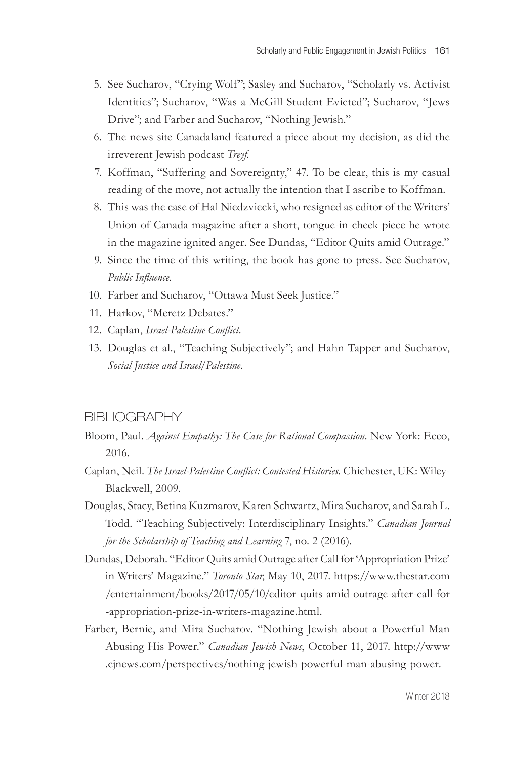- 5. See Sucharov, "Crying Wolf"; Sasley and Sucharov, "Scholarly vs. Activist Identities"; Sucharov, "Was a McGill Student Evicted"; Sucharov, "Jews Drive"; and Farber and Sucharov, "Nothing Jewish."
- 6. The news site Canadaland featured a piece about my decision, as did the irreverent Jewish podcast *Treyf*.
- 7. Koffman, "Suffering and Sovereignty," 47. To be clear, this is my casual reading of the move, not actually the intention that I ascribe to Koffman.
- 8. This was the case of Hal Niedzviecki, who resigned as editor of the Writers' Union of Canada magazine after a short, tongue-in-cheek piece he wrote in the magazine ignited anger. See Dundas, "Editor Quits amid Outrage."
- 9. Since the time of this writing, the book has gone to press. See Sucharov, *Public Influence*.
- 10. Farber and Sucharov, "Ottawa Must Seek Justice."
- 11. Harkov, "Meretz Debates."
- 12. Caplan, *Israel-Palestine Conflict.*
- 13. Douglas et al., "Teaching Subjectively"; and Hahn Tapper and Sucharov, *Social Justice and Israel/Palestine*.

#### BIBLIOGRAPHY

- Bloom, Paul. *Against Empathy: The Case for Rational Compassion*. New York: Ecco, 2016.
- Caplan, Neil. *The Israel-Palestine Conflict: Contested Histories*. Chichester, UK: Wiley-Blackwell, 2009.
- Douglas, Stacy, Betina Kuzmarov, Karen Schwartz, Mira Sucharov, and Sarah L. Todd. "Teaching Subjectively: Interdisciplinary Insights." *Canadian Journal for the Scholarship of Teaching and Learning* 7, no. 2 (2016).
- Dundas, Deborah. "Editor Quits amid Outrage after Call for 'Appropriation Prize' in Writers' Magazine." *Toronto Star*, May 10, 2017. https://www.thestar.com /entertainment/books/2017/05/10/editor-quits-amid-outrage-after-call-for -appropriation-prize-in-writers-magazine.html.
- Farber, Bernie, and Mira Sucharov. "Nothing Jewish about a Powerful Man Abusing His Power." *Canadian Jewish News*, October 11, 2017. http://www .cjnews.com/perspectives/nothing-jewish-powerful-man-abusing-power.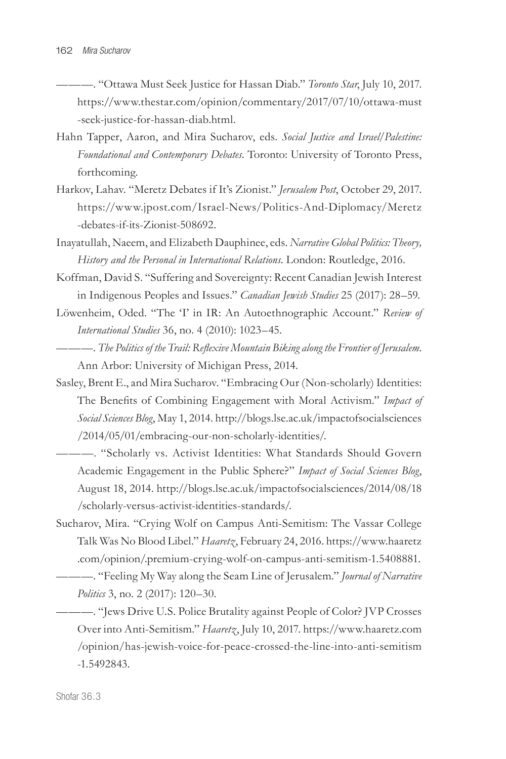———. "Ottawa Must Seek Justice for Hassan Diab." *Toronto Star*, July 10, 2017. https://www.thestar.com/opinion/commentary/2017/07/10/ottawa-must -seek-justice-for-hassan-diab.html.

- Hahn Tapper, Aaron, and Mira Sucharov, eds. *Social Justice and Israel/Palestine: Foundational and Contemporary Debates*. Toronto: University of Toronto Press, forthcoming.
- Harkov, Lahav. "Meretz Debates if It's Zionist." *Jerusalem Post*, October 29, 2017. https://www.jpost.com/Israel-News/Politics-And-Diplomacy/Meretz -debates-if-its-Zionist-508692.
- Inayatullah, Naeem, and Elizabeth Dauphinee, eds. *Narrative Global Politics: Theory, History and the Personal in International Relations*. London: Routledge, 2016.

Koffman, David S. "Suffering and Sovereignty: Recent Canadian Jewish Interest in Indigenous Peoples and Issues." *Canadian Jewish Studies* 25 (2017): 28–59.

- Löwenheim, Oded. "The 'I' in IR: An Autoethnographic Account." *Review of International Studies* 36, no. 4 (2010): 1023–45.
- ———. *The Politics of the Trail: Reflexive Mountain Biking along the Frontier of Jerusalem*. Ann Arbor: University of Michigan Press, 2014.
- Sasley, Brent E., and Mira Sucharov. "Embracing Our (Non-scholarly) Identities: The Benefits of Combining Engagement with Moral Activism." *Impact of Social Sciences Blog*, May 1, 2014. http://blogs.lse.ac.uk/impactofsocialsciences /2014/05/01/embracing-our-non-scholarly-identities/.
	- ———. "Scholarly vs. Activist Identities: What Standards Should Govern Academic Engagement in the Public Sphere?" *Impact of Social Sciences Blog*, August 18, 2014. http://blogs.lse.ac.uk/impactofsocialsciences/2014/08/18 /scholarly-versus-activist-identities-standards/.
- Sucharov, Mira. "Crying Wolf on Campus Anti-Semitism: The Vassar College Talk Was No Blood Libel." *Haaretz*, February 24, 2016. https://www.haaretz .com/opinion/.premium-crying-wolf-on-campus-anti-semitism-1.5408881.

———. "Feeling My Way along the Seam Line of Jerusalem." *Journal of Narrative Politics* 3, no. 2 (2017): 120–30.

-- ... "Jews Drive U.S. Police Brutality against People of Color? JVP Crosses Over into Anti-Semitism." *Haaretz*, July 10, 2017. https://www.haaretz.com /opinion/has-jewish-voice-for-peace-crossed-the-line-into-anti-semitism -1.5492843.